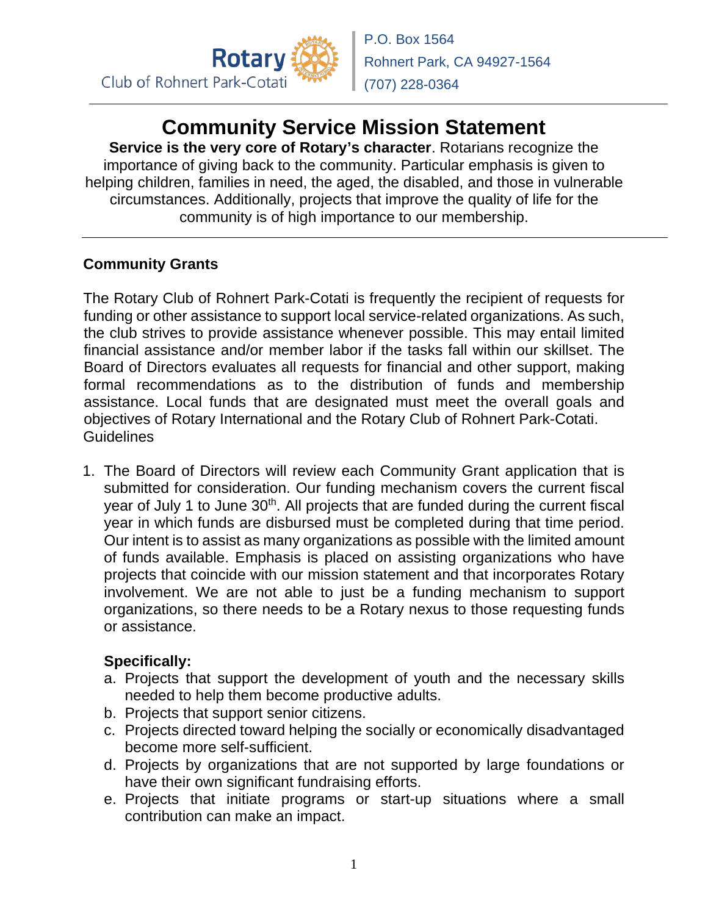

## **Community Service Mission Statement**

**Service is the very core of Rotary's character**. Rotarians recognize the importance of giving back to the community. Particular emphasis is given to helping children, families in need, the aged, the disabled, and those in vulnerable circumstances. Additionally, projects that improve the quality of life for the community is of high importance to our membership.

## **Community Grants**

The Rotary Club of Rohnert Park-Cotati is frequently the recipient of requests for funding or other assistance to support local service-related organizations. As such, the club strives to provide assistance whenever possible. This may entail limited financial assistance and/or member labor if the tasks fall within our skillset. The Board of Directors evaluates all requests for financial and other support, making formal recommendations as to the distribution of funds and membership assistance. Local funds that are designated must meet the overall goals and objectives of Rotary International and the Rotary Club of Rohnert Park-Cotati. Guidelines

1. The Board of Directors will review each Community Grant application that is submitted for consideration. Our funding mechanism covers the current fiscal year of July 1 to June 30<sup>th</sup>. All projects that are funded during the current fiscal year in which funds are disbursed must be completed during that time period. Our intent is to assist as many organizations as possible with the limited amount of funds available. Emphasis is placed on assisting organizations who have projects that coincide with our mission statement and that incorporates Rotary involvement. We are not able to just be a funding mechanism to support organizations, so there needs to be a Rotary nexus to those requesting funds or assistance.

## **Specifically:**

- a. Projects that support the development of youth and the necessary skills needed to help them become productive adults.
- b. Projects that support senior citizens.
- c. Projects directed toward helping the socially or economically disadvantaged become more self-sufficient.
- d. Projects by organizations that are not supported by large foundations or have their own significant fundraising efforts.
- e. Projects that initiate programs or start-up situations where a small contribution can make an impact.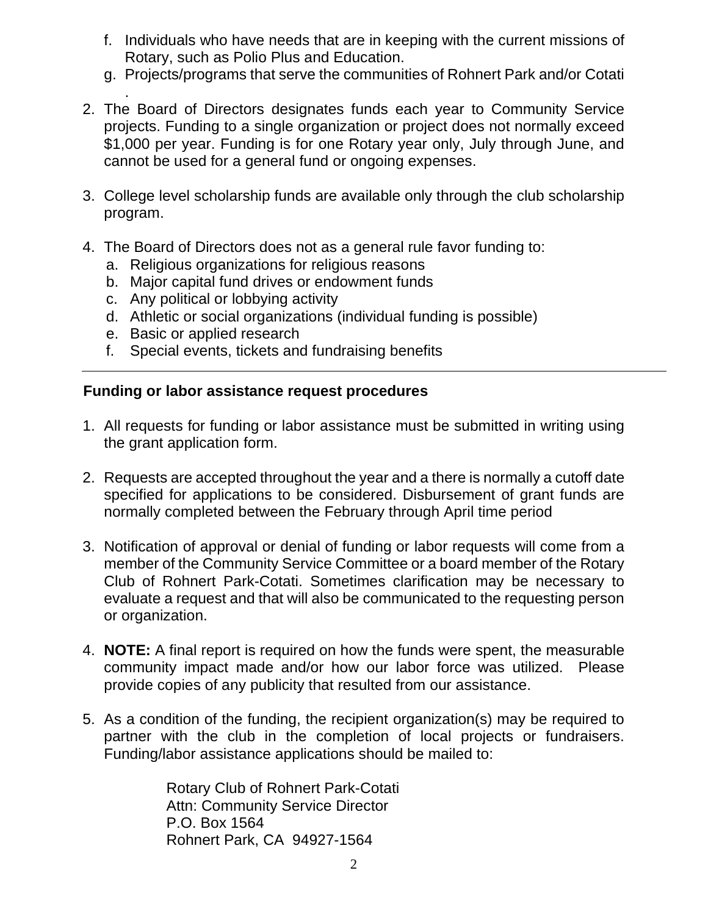- f. Individuals who have needs that are in keeping with the current missions of Rotary, such as Polio Plus and Education.
- g. Projects/programs that serve the communities of Rohnert Park and/or Cotati
- . 2. The Board of Directors designates funds each year to Community Service projects. Funding to a single organization or project does not normally exceed \$1,000 per year. Funding is for one Rotary year only, July through June, and cannot be used for a general fund or ongoing expenses.
- 3. College level scholarship funds are available only through the club scholarship program.
- 4. The Board of Directors does not as a general rule favor funding to:
	- a. Religious organizations for religious reasons
	- b. Major capital fund drives or endowment funds
	- c. Any political or lobbying activity
	- d. Athletic or social organizations (individual funding is possible)
	- e. Basic or applied research
	- f. Special events, tickets and fundraising benefits

## **Funding or labor assistance request procedures**

- 1. All requests for funding or labor assistance must be submitted in writing using the grant application form.
- 2. Requests are accepted throughout the year and a there is normally a cutoff date specified for applications to be considered. Disbursement of grant funds are normally completed between the February through April time period
- 3. Notification of approval or denial of funding or labor requests will come from a member of the Community Service Committee or a board member of the Rotary Club of Rohnert Park-Cotati. Sometimes clarification may be necessary to evaluate a request and that will also be communicated to the requesting person or organization.
- 4. **NOTE:** A final report is required on how the funds were spent, the measurable community impact made and/or how our labor force was utilized. Please provide copies of any publicity that resulted from our assistance.
- 5. As a condition of the funding, the recipient organization(s) may be required to partner with the club in the completion of local projects or fundraisers. Funding/labor assistance applications should be mailed to:

Rotary Club of Rohnert Park-Cotati Attn: Community Service Director P.O. Box 1564 Rohnert Park, CA 94927-1564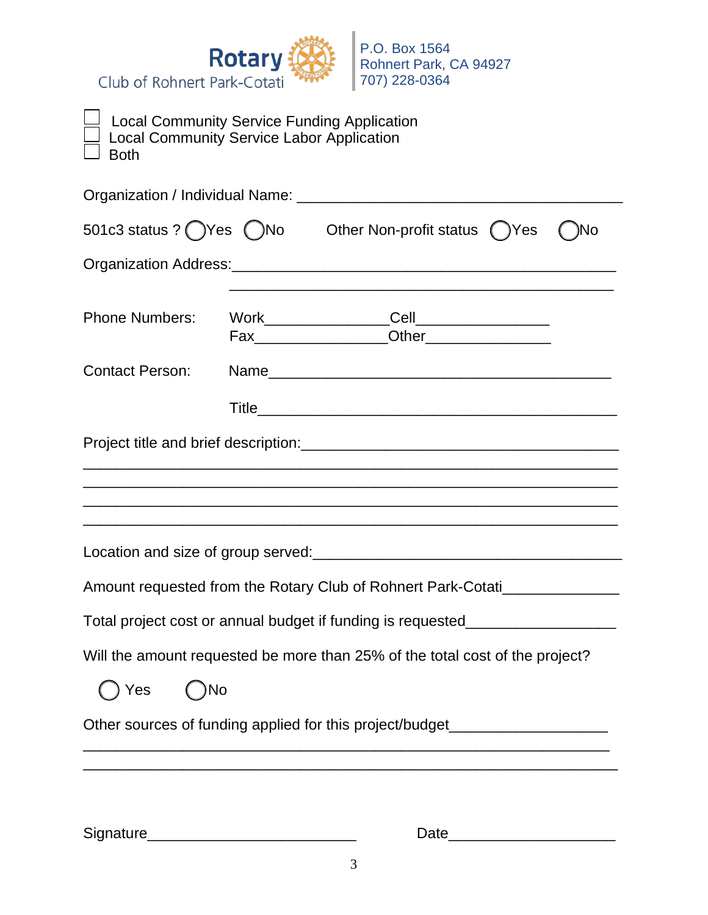

| <b>Local Community Service Funding Application</b><br><b>Local Community Service Labor Application</b><br><b>Both</b> |                                                                                                                    |     |
|-----------------------------------------------------------------------------------------------------------------------|--------------------------------------------------------------------------------------------------------------------|-----|
|                                                                                                                       |                                                                                                                    |     |
| 501c3 status ? OYes ONo Other Non-profit status OYes                                                                  |                                                                                                                    | )No |
|                                                                                                                       |                                                                                                                    |     |
| <b>Phone Numbers:</b>                                                                                                 | Work_________________Cell_________________                                                                         |     |
| <b>Contact Person:</b>                                                                                                |                                                                                                                    |     |
|                                                                                                                       |                                                                                                                    |     |
|                                                                                                                       |                                                                                                                    |     |
|                                                                                                                       | <u> 1980 - Jan James James James James James James James James James James James James James James James James</u> |     |
|                                                                                                                       |                                                                                                                    |     |
|                                                                                                                       |                                                                                                                    |     |
| Amount requested from the Rotary Club of Rohnert Park-Cotati                                                          |                                                                                                                    |     |
| Total project cost or annual budget if funding is requested_                                                          |                                                                                                                    |     |
| Will the amount requested be more than 25% of the total cost of the project?                                          |                                                                                                                    |     |
| ( )No<br>Yes                                                                                                          |                                                                                                                    |     |
| Other sources of funding applied for this project/budget________________________                                      |                                                                                                                    |     |
|                                                                                                                       |                                                                                                                    |     |

Signature\_\_\_\_\_\_\_\_\_\_\_\_\_\_\_\_\_\_\_\_\_\_\_\_\_ Date\_\_\_\_\_\_\_\_\_\_\_\_\_\_\_\_\_\_\_\_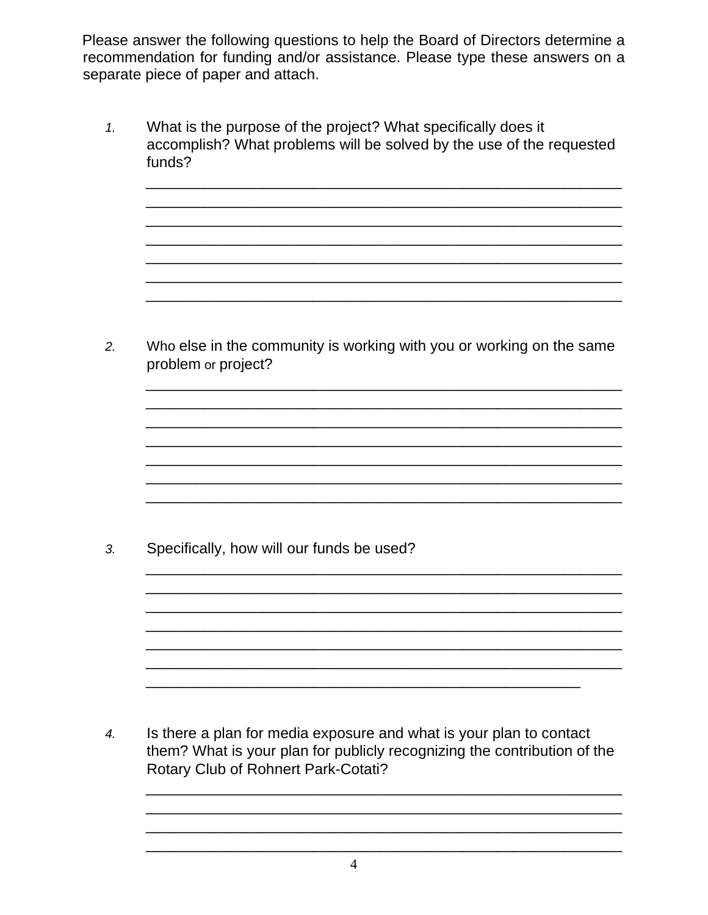Please answer the following questions to help the Board of Directors determine a recommendation for funding and/or assistance. Please type these answers on a separate piece of paper and attach.

What is the purpose of the project? What specifically does it  $1.$ accomplish? What problems will be solved by the use of the requested funds?

Who else in the community is working with you or working on the same  $2.$ problem or project?

Specifically, how will our funds be used?  $3<sub>l</sub>$ 

Is there a plan for media exposure and what is your plan to contact  $\overline{4}$ . them? What is your plan for publicly recognizing the contribution of the Rotary Club of Rohnert Park-Cotati?